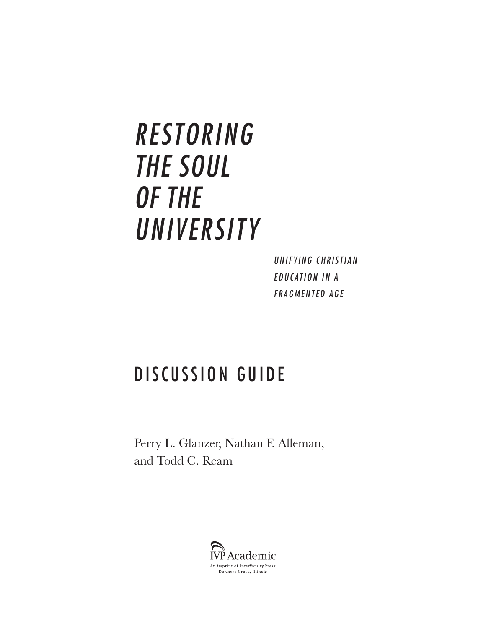# *RESTORING THE SOUL OF THE UNIVERSITY*

*U N I F Y I N G C H R I S T I A N*  **EDUCATION IN A** *FRAGMENTED AGE*

# DISCUSSION GUIDE

Perry L. Glanzer, Nathan F. Alleman, and Todd C. Ream

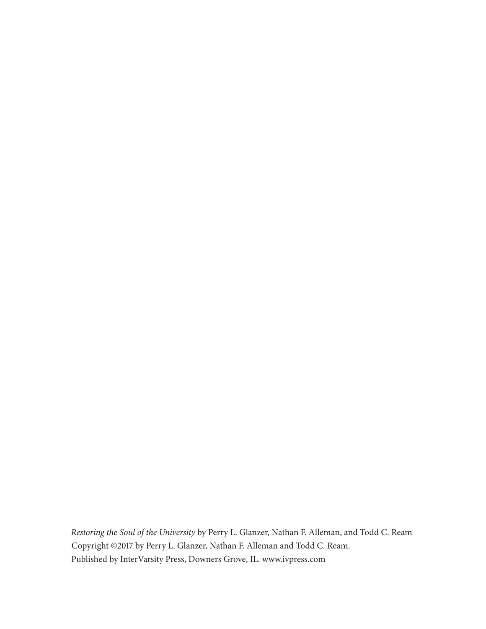*Restoring the Soul of the University* by Perry L. Glanzer, Nathan F. Alleman, and Todd C. Ream Copyright ©2017 by Perry L. Glanzer, Nathan F. Alleman and Todd C. Ream. Published by InterVarsity Press, Downers Grove, IL. www.ivpress.com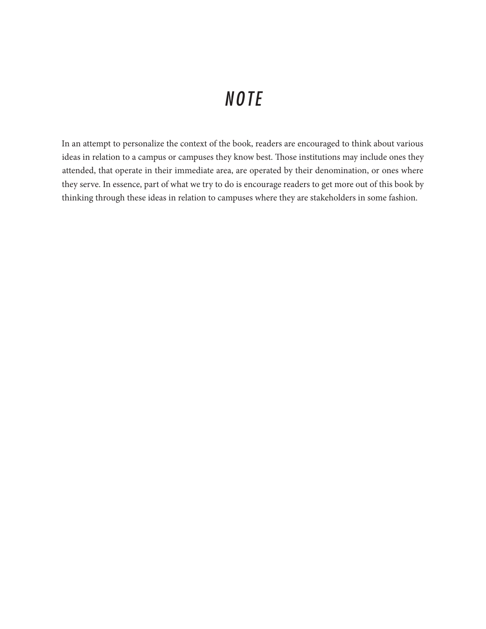### *NOTE*

In an attempt to personalize the context of the book, readers are encouraged to think about various ideas in relation to a campus or campuses they know best. Those institutions may include ones they attended, that operate in their immediate area, are operated by their denomination, or ones where they serve. In essence, part of what we try to do is encourage readers to get more out of this book by thinking through these ideas in relation to campuses where they are stakeholders in some fashion.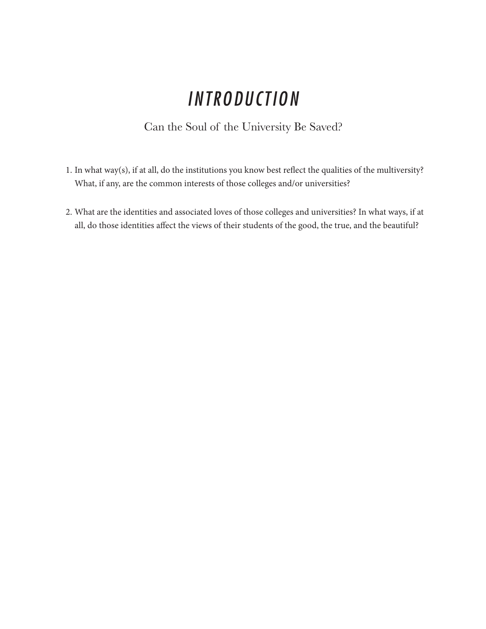## *INTRODUCTION*

#### Can the Soul of the University Be Saved?

- 1. In what way(s), if at all, do the institutions you know best reflect the qualities of the multiversity? What, if any, are the common interests of those colleges and/or universities?
- 2. What are the identities and associated loves of those colleges and universities? In what ways, if at all, do those identities affect the views of their students of the good, the true, and the beautiful?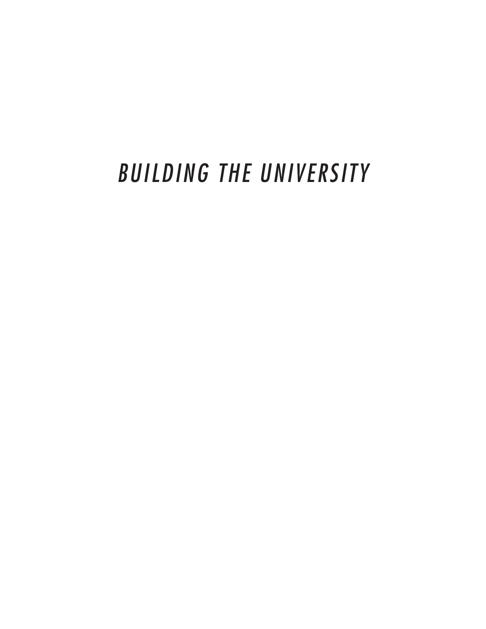# *BUILDING THE UNIVERSITY*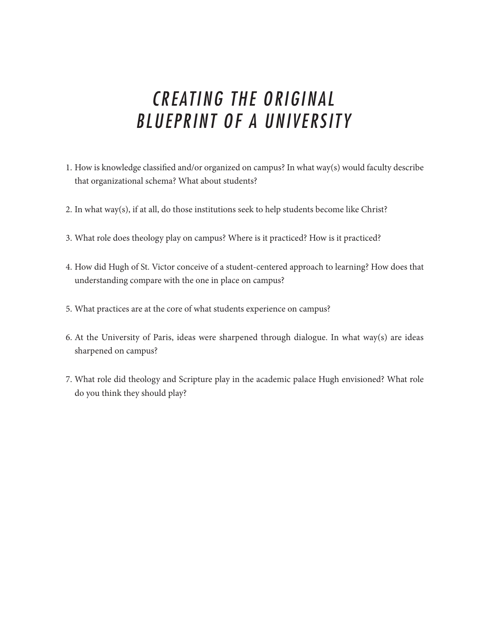### *CREATING THE ORIGINAL BLUEPRINT OF A UNIVERSITY*

- 1. How is knowledge classified and/or organized on campus? In what way(s) would faculty describe that organizational schema? What about students?
- 2. In what way(s), if at all, do those institutions seek to help students become like Christ?
- 3. What role does theology play on campus? Where is it practiced? How is it practiced?
- 4. How did Hugh of St. Victor conceive of a student-centered approach to learning? How does that understanding compare with the one in place on campus?
- 5. What practices are at the core of what students experience on campus?
- 6. At the University of Paris, ideas were sharpened through dialogue. In what way(s) are ideas sharpened on campus?
- 7. What role did theology and Scripture play in the academic palace Hugh envisioned? What role do you think they should play?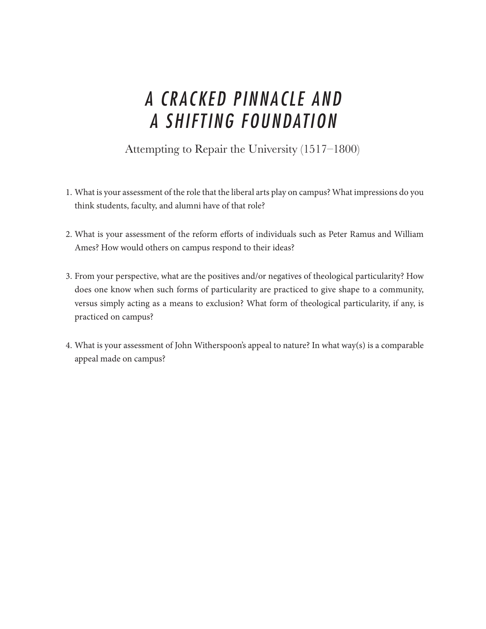### *A CRACKED PINNACLE AND A SHIFTING FOUNDATION*

#### Attempting to Repair the University (1517–1800)

- 1. What is your assessment of the role that the liberal arts play on campus? What impressions do you think students, faculty, and alumni have of that role?
- 2. What is your assessment of the reform efforts of individuals such as Peter Ramus and William Ames? How would others on campus respond to their ideas?
- 3. From your perspective, what are the positives and/or negatives of theological particularity? How does one know when such forms of particularity are practiced to give shape to a community, versus simply acting as a means to exclusion? What form of theological particularity, if any, is practiced on campus?
- 4. What is your assessment of John Witherspoon's appeal to nature? In what way(s) is a comparable appeal made on campus?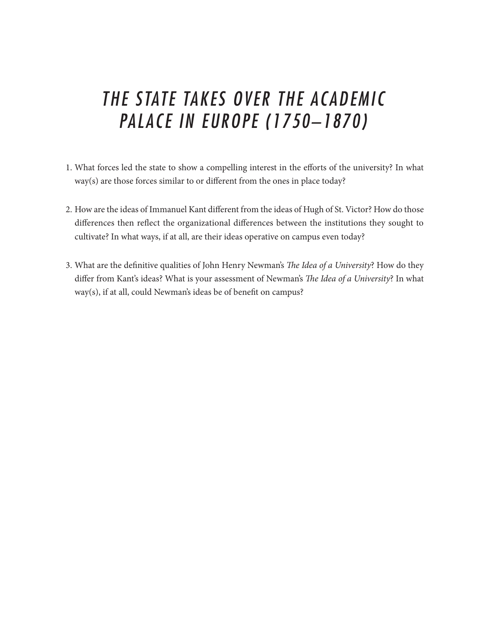### *THE STATE TAKES OVER THE ACADEMIC PALACE IN EUROPE (1750–1870)*

- 1. What forces led the state to show a compelling interest in the efforts of the university? In what way(s) are those forces similar to or different from the ones in place today?
- 2. How are the ideas of Immanuel Kant different from the ideas of Hugh of St. Victor? How do those differences then reflect the organizational differences between the institutions they sought to cultivate? In what ways, if at all, are their ideas operative on campus even today?
- 3. What are the definitive qualities of John Henry Newman's *The Idea of a University*? How do they differ from Kant's ideas? What is your assessment of Newman's *The Idea of a University*? In what way(s), if at all, could Newman's ideas be of benefit on campus?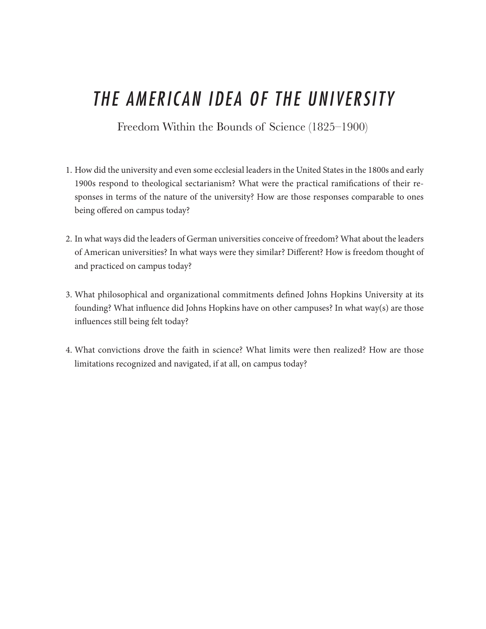# *THE AMERICAN IDEA OF THE UNIVERSITY*

Freedom Within the Bounds of Science (1825–1900)

- 1. How did the university and even some ecclesial leaders in the United States in the 1800s and early 1900s respond to theological sectarianism? What were the practical ramifications of their responses in terms of the nature of the university? How are those responses comparable to ones being offered on campus today?
- 2. In what ways did the leaders of German universities conceive of freedom? What about the leaders of American universities? In what ways were they similar? Different? How is freedom thought of and practiced on campus today?
- 3. What philosophical and organizational commitments defined Johns Hopkins University at its founding? What influence did Johns Hopkins have on other campuses? In what way(s) are those influences still being felt today?
- 4. What convictions drove the faith in science? What limits were then realized? How are those limitations recognized and navigated, if at all, on campus today?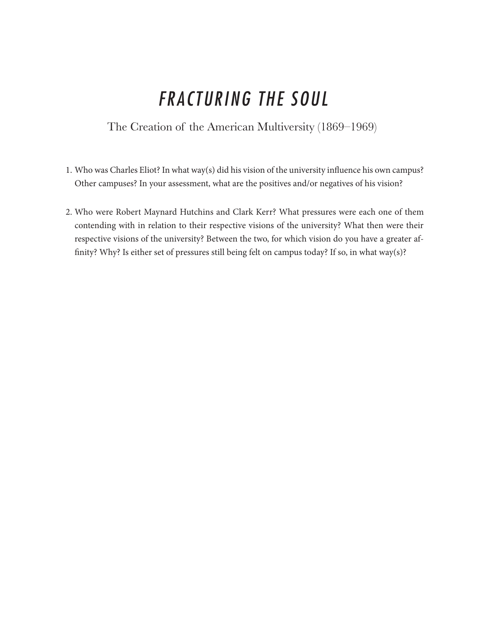# *FRACTURING THE SOUL*

The Creation of the American Multiversity (1869–1969)

- 1. Who was Charles Eliot? In what way(s) did his vision of the university influence his own campus? Other campuses? In your assessment, what are the positives and/or negatives of his vision?
- 2. Who were Robert Maynard Hutchins and Clark Kerr? What pressures were each one of them contending with in relation to their respective visions of the university? What then were their respective visions of the university? Between the two, for which vision do you have a greater affinity? Why? Is either set of pressures still being felt on campus today? If so, in what way(s)?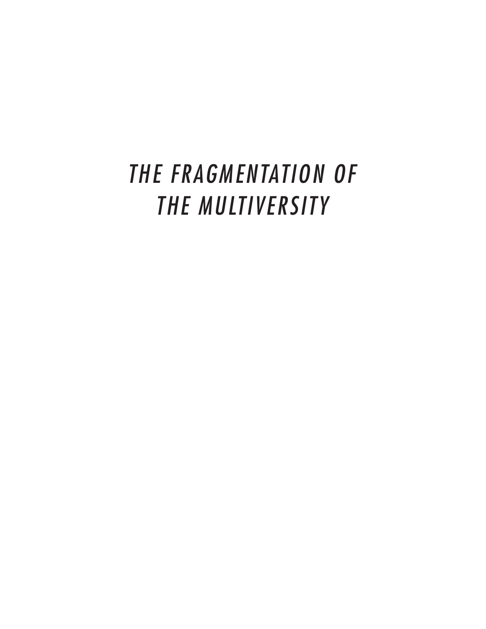# *THE FRAGMENTATION OF THE MULTIVERSITY*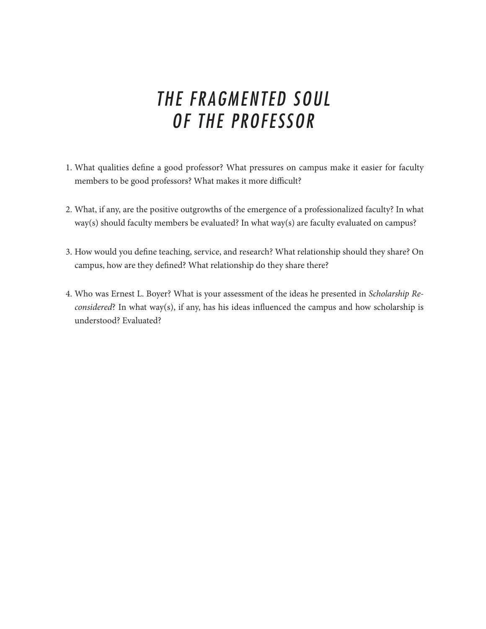### *THE FRAGMENTED SOUL OF THE PROFESSOR*

- 1. What qualities define a good professor? What pressures on campus make it easier for faculty members to be good professors? What makes it more difficult?
- 2. What, if any, are the positive outgrowths of the emergence of a professionalized faculty? In what way(s) should faculty members be evaluated? In what way(s) are faculty evaluated on campus?
- 3. How would you define teaching, service, and research? What relationship should they share? On campus, how are they defined? What relationship do they share there?
- 4. Who was Ernest L. Boyer? What is your assessment of the ideas he presented in *Scholarship Reconsidered*? In what way(s), if any, has his ideas influenced the campus and how scholarship is understood? Evaluated?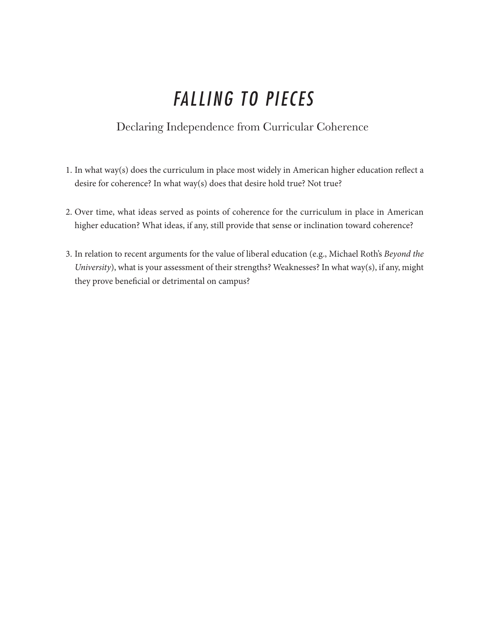# *FALLING TO PIECES*

#### Declaring Independence from Curricular Coherence

- 1. In what way(s) does the curriculum in place most widely in American higher education reflect a desire for coherence? In what way(s) does that desire hold true? Not true?
- 2. Over time, what ideas served as points of coherence for the curriculum in place in American higher education? What ideas, if any, still provide that sense or inclination toward coherence?
- 3. In relation to recent arguments for the value of liberal education (e.g., Michael Roth's *Beyond the University*), what is your assessment of their strengths? Weaknesses? In what way(s), if any, might they prove beneficial or detrimental on campus?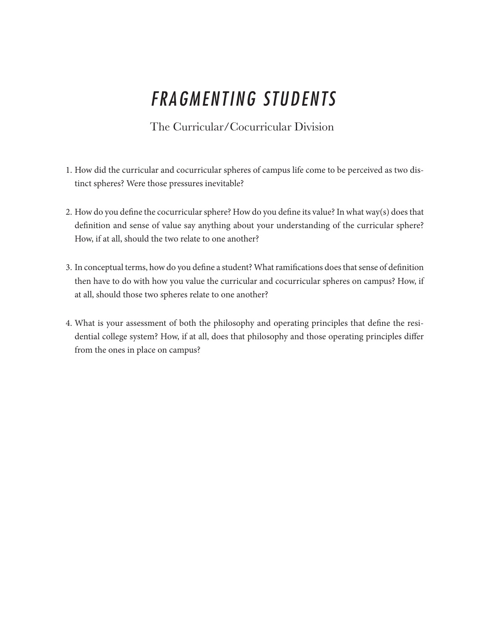# *FRAGMENTING STUDENTS*

#### The Curricular/Cocurricular Division

- 1. How did the curricular and cocurricular spheres of campus life come to be perceived as two distinct spheres? Were those pressures inevitable?
- 2. How do you define the cocurricular sphere? How do you define its value? In what way(s) does that definition and sense of value say anything about your understanding of the curricular sphere? How, if at all, should the two relate to one another?
- 3. In conceptual terms, how do you define a student? What ramifications does that sense of definition then have to do with how you value the curricular and cocurricular spheres on campus? How, if at all, should those two spheres relate to one another?
- 4. What is your assessment of both the philosophy and operating principles that define the residential college system? How, if at all, does that philosophy and those operating principles differ from the ones in place on campus?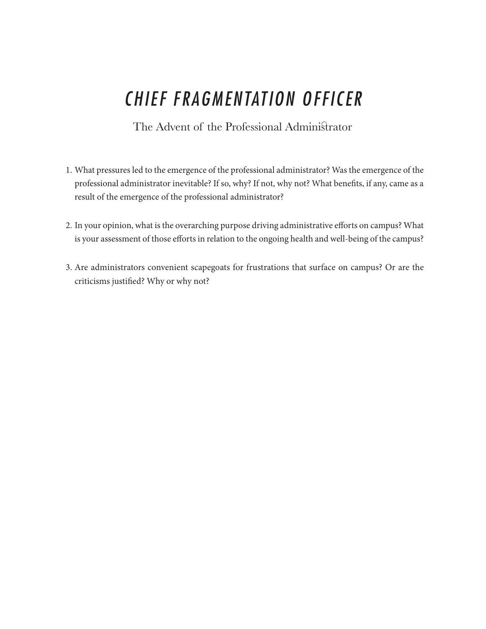# *CHIEF FRAGMENTATION OFFICER*

The Advent of the Professional Administrator

- 1. What pressures led to the emergence of the professional administrator? Was the emergence of the professional administrator inevitable? If so, why? If not, why not? What benefits, if any, came as a result of the emergence of the professional administrator?
- 2. In your opinion, what is the overarching purpose driving administrative efforts on campus? What is your assessment of those efforts in relation to the ongoing health and well-being of the campus?
- 3. Are administrators convenient scapegoats for frustrations that surface on campus? Or are the criticisms justified? Why or why not?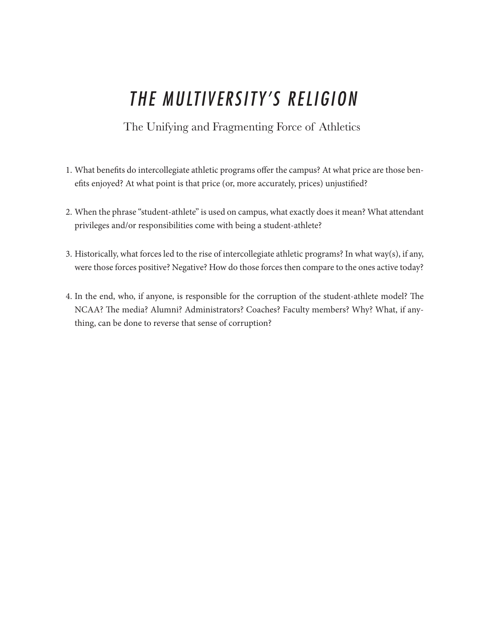# *THE MULTIVERSITY'S RELIGION*

The Unifying and Fragmenting Force of Athletics

- 1. What benefits do intercollegiate athletic programs offer the campus? At what price are those benefits enjoyed? At what point is that price (or, more accurately, prices) unjustified?
- 2. When the phrase "student-athlete" is used on campus, what exactly does it mean? What attendant privileges and/or responsibilities come with being a student-athlete?
- 3. Historically, what forces led to the rise of intercollegiate athletic programs? In what way(s), if any, were those forces positive? Negative? How do those forces then compare to the ones active today?
- 4. In the end, who, if anyone, is responsible for the corruption of the student-athlete model? The NCAA? The media? Alumni? Administrators? Coaches? Faculty members? Why? What, if anything, can be done to reverse that sense of corruption?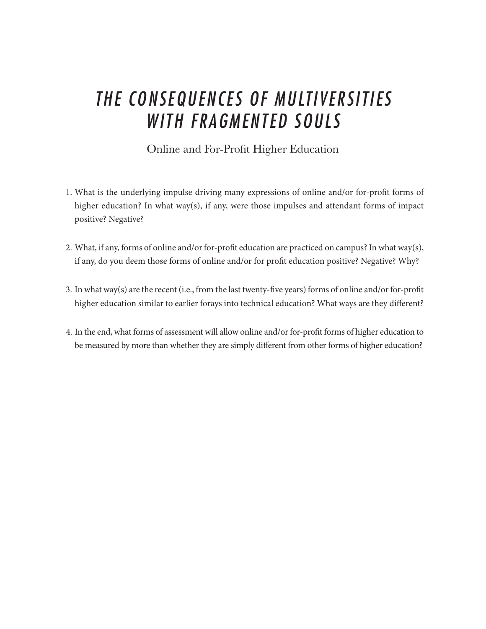### *THE CONSEQUENCES OF MULTIVERSITIES WITH FRAGMENTED SOULS*

#### Online and For-Profit Higher Education

- 1. What is the underlying impulse driving many expressions of online and/or for-profit forms of higher education? In what way(s), if any, were those impulses and attendant forms of impact positive? Negative?
- 2. What, if any, forms of online and/or for-profit education are practiced on campus? In what way(s), if any, do you deem those forms of online and/or for profit education positive? Negative? Why?
- 3. In what way(s) are the recent (i.e., from the last twenty-five years) forms of online and/or for-profit higher education similar to earlier forays into technical education? What ways are they different?
- 4. In the end, what forms of assessment will allow online and/or for-profit forms of higher education to be measured by more than whether they are simply different from other forms of higher education?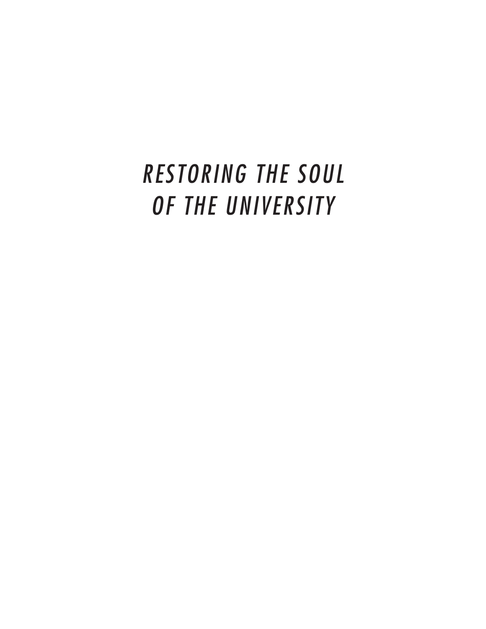# *RESTORING THE SOUL OF THE UNIVERSITY*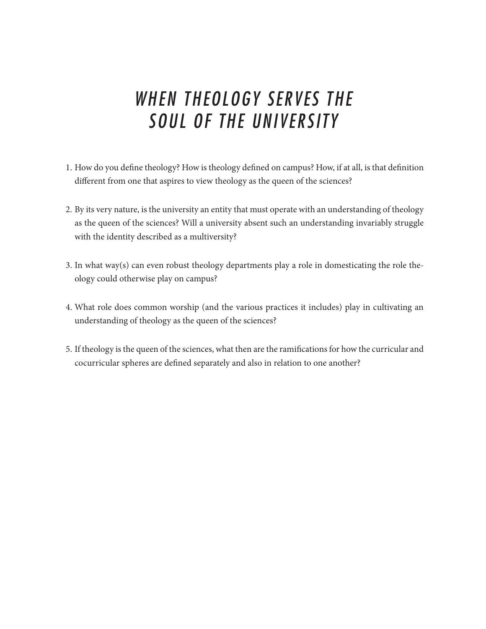### *WHEN THEOLOGY SERVES THE SOUL OF THE UNIVERSITY*

- 1. How do you define theology? How is theology defined on campus? How, if at all, is that definition different from one that aspires to view theology as the queen of the sciences?
- 2. By its very nature, is the university an entity that must operate with an understanding of theology as the queen of the sciences? Will a university absent such an understanding invariably struggle with the identity described as a multiversity?
- 3. In what way(s) can even robust theology departments play a role in domesticating the role theology could otherwise play on campus?
- 4. What role does common worship (and the various practices it includes) play in cultivating an understanding of theology as the queen of the sciences?
- 5. If theology is the queen of the sciences, what then are the ramifications for how the curricular and cocurricular spheres are defined separately and also in relation to one another?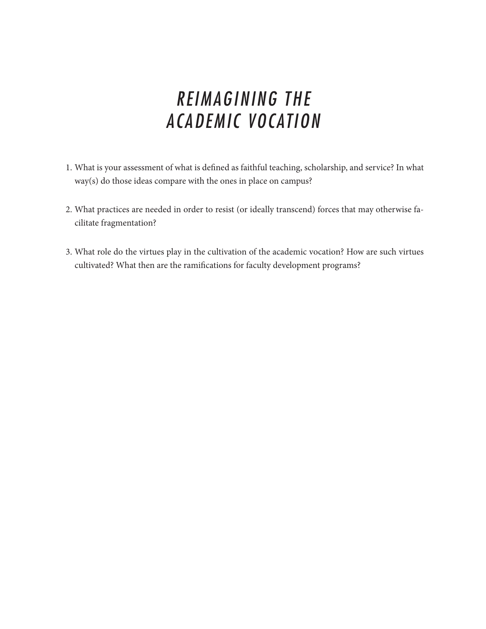## *REIMAGINING THE ACADEMIC VOCATION*

- 1. What is your assessment of what is defined as faithful teaching, scholarship, and service? In what way(s) do those ideas compare with the ones in place on campus?
- 2. What practices are needed in order to resist (or ideally transcend) forces that may otherwise facilitate fragmentation?
- 3. What role do the virtues play in the cultivation of the academic vocation? How are such virtues cultivated? What then are the ramifications for faculty development programs?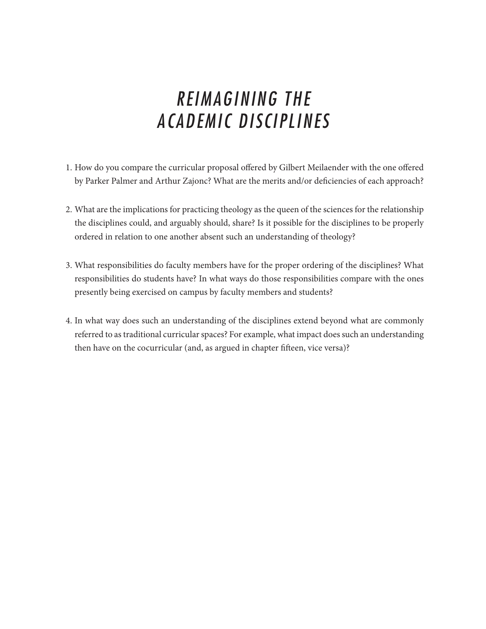## *REIMAGINING THE ACADEMIC DISCIPLINES*

- 1. How do you compare the curricular proposal offered by Gilbert Meilaender with the one offered by Parker Palmer and Arthur Zajonc? What are the merits and/or deficiencies of each approach?
- 2. What are the implications for practicing theology as the queen of the sciences for the relationship the disciplines could, and arguably should, share? Is it possible for the disciplines to be properly ordered in relation to one another absent such an understanding of theology?
- 3. What responsibilities do faculty members have for the proper ordering of the disciplines? What responsibilities do students have? In what ways do those responsibilities compare with the ones presently being exercised on campus by faculty members and students?
- 4. In what way does such an understanding of the disciplines extend beyond what are commonly referred to as traditional curricular spaces? For example, what impact does such an understanding then have on the cocurricular (and, as argued in chapter fifteen, vice versa)?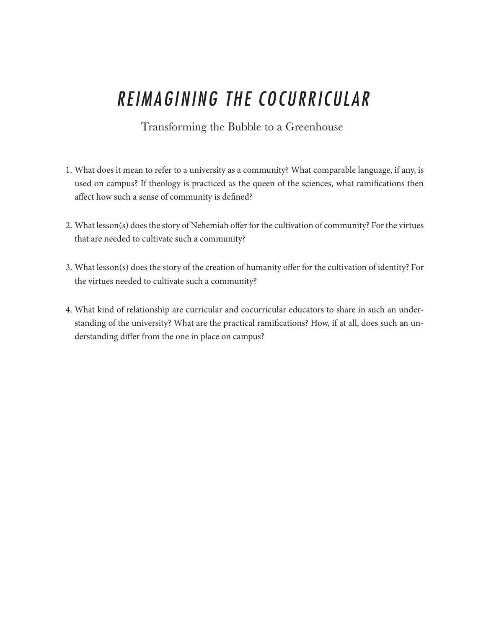# *REIMAGINING THE COCURRICULAR*

#### Transforming the Bubble to a Greenhouse

- 1. What does it mean to refer to a university as a community? What comparable language, if any, is used on campus? If theology is practiced as the queen of the sciences, what ramifications then affect how such a sense of community is defined?
- 2. What lesson(s) does the story of Nehemiah offer for the cultivation of community? For the virtues that are needed to cultivate such a community?
- 3. What lesson(s) does the story of the creation of humanity offer for the cultivation of identity? For the virtues needed to cultivate such a community?
- 4. What kind of relationship are curricular and cocurricular educators to share in such an understanding of the university? What are the practical ramifications? How, if at all, does such an understanding differ from the one in place on campus?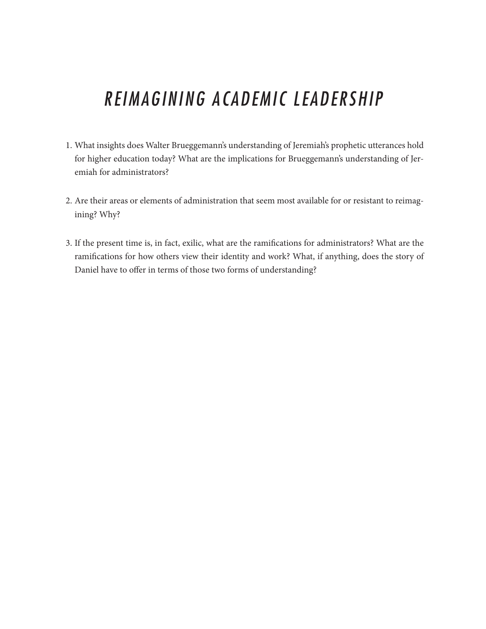## *REIMAGINING ACADEMIC LEADERSHIP*

- 1. What insights does Walter Brueggemann's understanding of Jeremiah's prophetic utterances hold for higher education today? What are the implications for Brueggemann's understanding of Jeremiah for administrators?
- 2. Are their areas or elements of administration that seem most available for or resistant to reimagining? Why?
- 3. If the present time is, in fact, exilic, what are the ramifications for administrators? What are the ramifications for how others view their identity and work? What, if anything, does the story of Daniel have to offer in terms of those two forms of understanding?